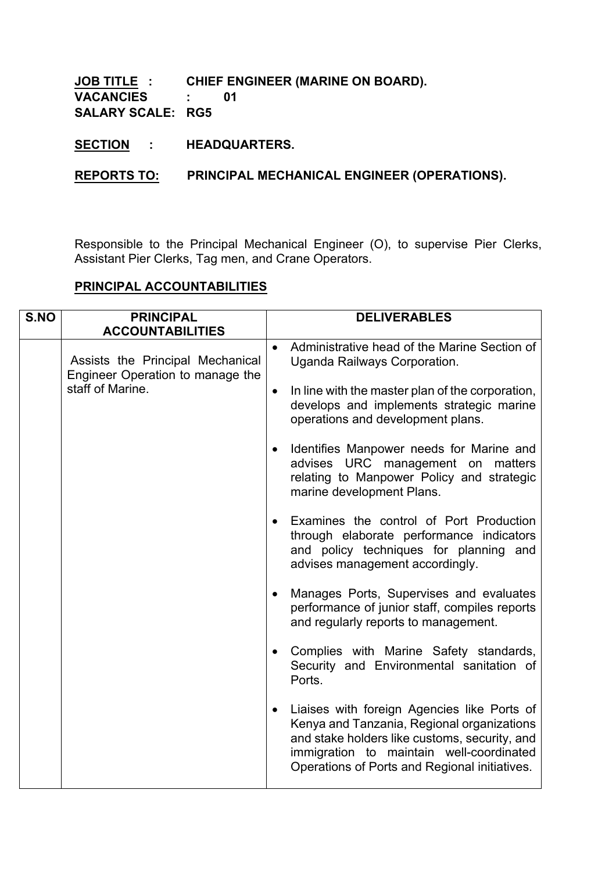## **JOB TITLE : CHIEF ENGINEER (MARINE ON BOARD). VACANCIES : 01 SALARY SCALE: RG5**

**SECTION : HEADQUARTERS.**

**REPORTS TO: PRINCIPAL MECHANICAL ENGINEER (OPERATIONS).**

Responsible to the Principal Mechanical Engineer (O), to supervise Pier Clerks, Assistant Pier Clerks, Tag men, and Crane Operators.

## **PRINCIPAL ACCOUNTABILITIES**

| S.NO | <b>PRINCIPAL</b>                                                     |           | <b>DELIVERABLES</b>                                                                                                                                                                                                                     |
|------|----------------------------------------------------------------------|-----------|-----------------------------------------------------------------------------------------------------------------------------------------------------------------------------------------------------------------------------------------|
|      | <b>ACCOUNTABILITIES</b>                                              |           |                                                                                                                                                                                                                                         |
|      | Assists the Principal Mechanical<br>Engineer Operation to manage the | $\bullet$ | Administrative head of the Marine Section of<br>Uganda Railways Corporation.                                                                                                                                                            |
|      | staff of Marine.                                                     | $\bullet$ | In line with the master plan of the corporation,<br>develops and implements strategic marine<br>operations and development plans.                                                                                                       |
|      |                                                                      |           | Identifies Manpower needs for Marine and<br>advises URC management on<br>matters<br>relating to Manpower Policy and strategic<br>marine development Plans.                                                                              |
|      |                                                                      |           | Examines the control of Port Production<br>through elaborate performance indicators<br>and policy techniques for planning and<br>advises management accordingly.                                                                        |
|      |                                                                      | $\bullet$ | Manages Ports, Supervises and evaluates<br>performance of junior staff, compiles reports<br>and regularly reports to management.                                                                                                        |
|      |                                                                      |           | Complies with Marine Safety standards,<br>Security and Environmental sanitation of<br>Ports.                                                                                                                                            |
|      |                                                                      | $\bullet$ | Liaises with foreign Agencies like Ports of<br>Kenya and Tanzania, Regional organizations<br>and stake holders like customs, security, and<br>immigration to maintain well-coordinated<br>Operations of Ports and Regional initiatives. |